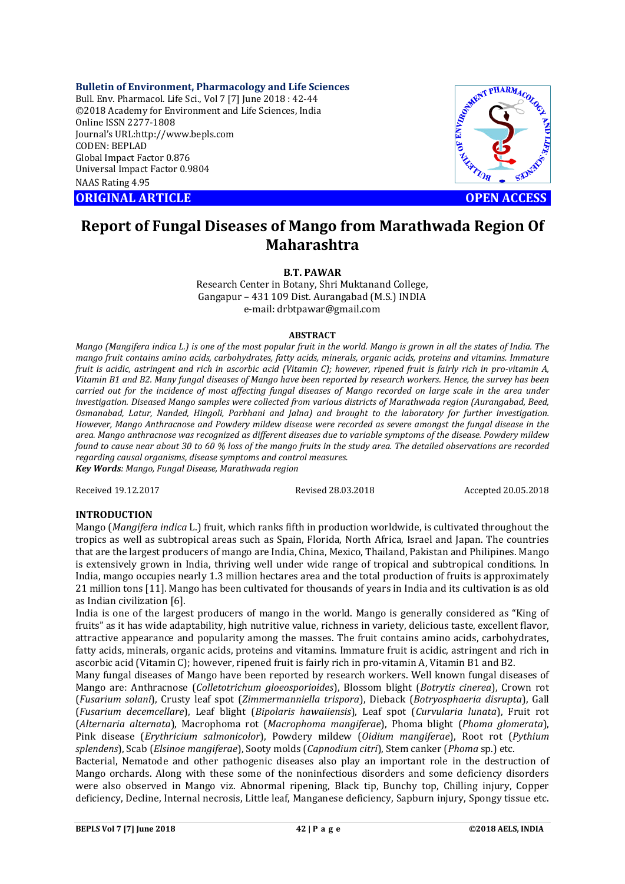**Bulletin of Environment, Pharmacology and Life Sciences**

Bull. Env. Pharmacol. Life Sci., Vol 7 [7] June 2018 : 42-44 ©2018 Academy for Environment and Life Sciences, India Online ISSN 2277-1808 Journal's URL:http://www.bepls.com CODEN: BEPLAD Global Impact Factor 0.876 Universal Impact Factor 0.9804 NAAS Rating 4.95 CONTRACT CONTRACT CONTRACT CONTRACT CONTRACT CONTRACT CONTRACT CONTRACT CONTRACT CONTRACT CONTRACT CONTRACT CONTRACT CONTRACT CONTRACT CONTRACT CONTRACT CONTRACT CONTRACT CONTRACT CONTRACT CONTRACT CONTRACT CONTRACT CONTRA



# **Report of Fungal Diseases of Mango from Marathwada Region Of Maharashtra**

**B.T. PAWAR** 

Research Center in Botany, Shri Muktanand College, Gangapur – 431 109 Dist. Aurangabad (M.S.) INDIA e-mail: drbtpawar@gmail.com

#### **ABSTRACT**

*Mango (Mangifera indica L.) is one of the most popular fruit in the world. Mango is grown in all the states of India. The mango fruit contains amino acids, carbohydrates, fatty acids, minerals, organic acids, proteins and vitamins. Immature fruit is acidic, astringent and rich in ascorbic acid (Vitamin C); however, ripened fruit is fairly rich in pro-vitamin A, Vitamin B1 and B2. Many fungal diseases of Mango have been reported by research workers. Hence, the survey has been carried out for the incidence of most affecting fungal diseases of Mango recorded on large scale in the area under investigation. Diseased Mango samples were collected from various districts of Marathwada region (Aurangabad, Beed, Osmanabad, Latur, Nanded, Hingoli, Parbhani and Jalna) and brought to the laboratory for further investigation. However, Mango Anthracnose and Powdery mildew disease were recorded as severe amongst the fungal disease in the area. Mango anthracnose was recognized as different diseases due to variable symptoms of the disease. Powdery mildew found to cause near about 30 to 60 % loss of the mango fruits in the study area. The detailed observations are recorded regarding causal organisms, disease symptoms and control measures. Key Words: Mango, Fungal Disease, Marathwada region*

Received 19.12.2017 Revised 28.03.2018 Accepted 20.05.2018

# **INTRODUCTION**

Mango (*Mangifera indica* L.) fruit, which ranks fifth in production worldwide, is cultivated throughout the tropics as well as subtropical areas such as Spain, Florida, North Africa, Israel and Japan. The countries that are the largest producers of mango are India, China, Mexico, Thailand, Pakistan and Philipines. Mango is extensively grown in India, thriving well under wide range of tropical and subtropical conditions. In India, mango occupies nearly 1.3 million hectares area and the total production of fruits is approximately 21 million tons [11]. Mango has been cultivated for thousands of years in India and its cultivation is as old as Indian civilization [6].

India is one of the largest producers of mango in the world. Mango is generally considered as "King of fruits" as it has wide adaptability, high nutritive value, richness in variety, delicious taste, excellent flavor, attractive appearance and popularity among the masses. The fruit contains amino acids, carbohydrates, fatty acids, minerals, organic acids, proteins and vitamins. Immature fruit is acidic, astringent and rich in ascorbic acid (Vitamin C); however, ripened fruit is fairly rich in pro-vitamin A, Vitamin B1 and B2.

Many fungal diseases of Mango have been reported by research workers. Well known fungal diseases of Mango are: Anthracnose (*Colletotrichum gloeosporioides*), Blossom blight (*Botrytis cinerea*), Crown rot (*Fusarium solani*), Crusty leaf spot (*Zimmermanniella trispora*), Dieback (*Botryosphaeria disrupta*), Gall (*Fusarium decemcellare*), Leaf blight (*Bipolaris hawaiiensis*), Leaf spot (*Curvularia lunata*), Fruit rot (*Alternaria alternata*), Macrophoma rot (*Macrophoma mangiferae*), Phoma blight (*Phoma glomerata*), Pink disease (*Erythricium salmonicolor*), Powdery mildew (*Oidium mangiferae*), Root rot (*Pythium splendens*), Scab (*Elsinoe mangiferae*), Sooty molds (*Capnodium citri*), Stem canker (*Phoma* sp.) etc.

Bacterial, Nematode and other pathogenic diseases also play an important role in the destruction of Mango orchards. Along with these some of the noninfectious disorders and some deficiency disorders were also observed in Mango viz. Abnormal ripening, Black tip, Bunchy top, Chilling injury, Copper deficiency, Decline, Internal necrosis, Little leaf, Manganese deficiency, Sapburn injury, Spongy tissue etc.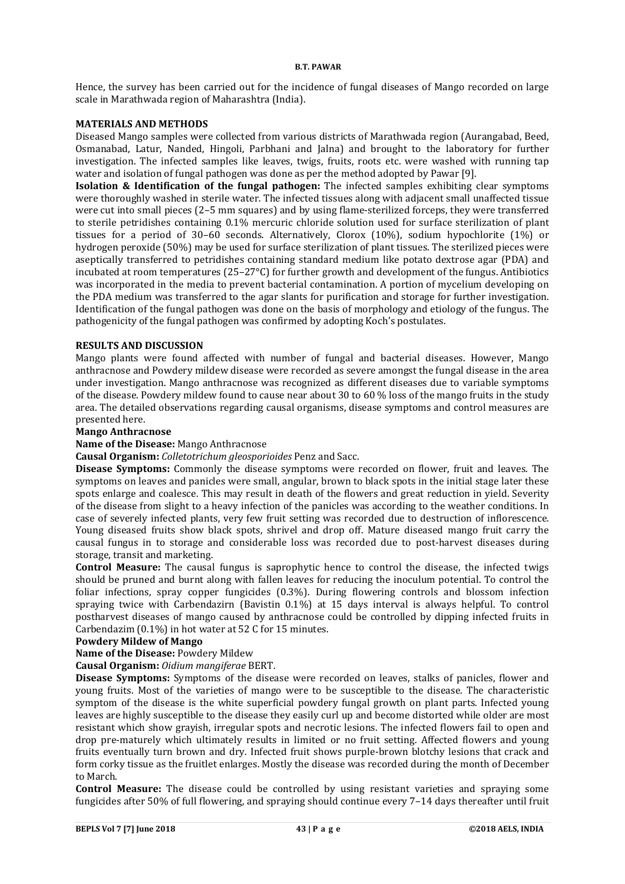#### **B.T. PAWAR**

Hence, the survey has been carried out for the incidence of fungal diseases of Mango recorded on large scale in Marathwada region of Maharashtra (India).

#### **MATERIALS AND METHODS**

Diseased Mango samples were collected from various districts of Marathwada region (Aurangabad, Beed, Osmanabad, Latur, Nanded, Hingoli, Parbhani and Jalna) and brought to the laboratory for further investigation. The infected samples like leaves, twigs, fruits, roots etc. were washed with running tap water and isolation of fungal pathogen was done as per the method adopted by Pawar [9].

**Isolation & Identification of the fungal pathogen:** The infected samples exhibiting clear symptoms were thoroughly washed in sterile water. The infected tissues along with adjacent small unaffected tissue were cut into small pieces (2–5 mm squares) and by using flame-sterilized forceps, they were transferred to sterile petridishes containing 0.1% mercuric chloride solution used for surface sterilization of plant tissues for a period of 30–60 seconds. Alternatively, Clorox (10%), sodium hypochlorite (1%) or hydrogen peroxide (50%) may be used for surface sterilization of plant tissues. The sterilized pieces were aseptically transferred to petridishes containing standard medium like potato dextrose agar (PDA) and incubated at room temperatures (25–27°C) for further growth and development of the fungus. Antibiotics was incorporated in the media to prevent bacterial contamination. A portion of mycelium developing on the PDA medium was transferred to the agar slants for purification and storage for further investigation. Identification of the fungal pathogen was done on the basis of morphology and etiology of the fungus. The pathogenicity of the fungal pathogen was confirmed by adopting Koch's postulates.

## **RESULTS AND DISCUSSION**

Mango plants were found affected with number of fungal and bacterial diseases. However, Mango anthracnose and Powdery mildew disease were recorded as severe amongst the fungal disease in the area under investigation. Mango anthracnose was recognized as different diseases due to variable symptoms of the disease. Powdery mildew found to cause near about 30 to 60 % loss of the mango fruits in the study area. The detailed observations regarding causal organisms, disease symptoms and control measures are presented here.

## **Mango Anthracnose**

## **Name of the Disease:** Mango Anthracnose

**Causal Organism:** *Colletotrichum gleosporioides* Penz and Sacc.

**Disease Symptoms:** Commonly the disease symptoms were recorded on flower, fruit and leaves. The symptoms on leaves and panicles were small, angular, brown to black spots in the initial stage later these spots enlarge and coalesce. This may result in death of the flowers and great reduction in yield. Severity of the disease from slight to a heavy infection of the panicles was according to the weather conditions. In case of severely infected plants, very few fruit setting was recorded due to destruction of inflorescence. Young diseased fruits show black spots, shrivel and drop off. Mature diseased mango fruit carry the causal fungus in to storage and considerable loss was recorded due to post-harvest diseases during storage, transit and marketing.

**Control Measure:** The causal fungus is saprophytic hence to control the disease, the infected twigs should be pruned and burnt along with fallen leaves for reducing the inoculum potential. To control the foliar infections, spray copper fungicides (0.3%). During flowering controls and blossom infection spraying twice with Carbendazirn (Bavistin 0.1%) at 15 days interval is always helpful. To control postharvest diseases of mango caused by anthracnose could be controlled by dipping infected fruits in Carbendazim (0.1%) in hot water at 52 C for 15 minutes.

# **Powdery Mildew of Mango**

**Name of the Disease:** Powdery Mildew

**Causal Organism:** *Oidium mangiferae* BERT.

**Disease Symptoms:** Symptoms of the disease were recorded on leaves, stalks of panicles, flower and young fruits. Most of the varieties of mango were to be susceptible to the disease. The characteristic symptom of the disease is the white superficial powdery fungal growth on plant parts. Infected young leaves are highly susceptible to the disease they easily curl up and become distorted while older are most resistant which show grayish, irregular spots and necrotic lesions. The infected flowers fail to open and drop pre-maturely which ultimately results in limited or no fruit setting. Affected flowers and young fruits eventually turn brown and dry. Infected fruit shows purple-brown blotchy lesions that crack and form corky tissue as the fruitlet enlarges. Mostly the disease was recorded during the month of December to March.

**Control Measure:** The disease could be controlled by using resistant varieties and spraying some fungicides after 50% of full flowering, and spraying should continue every 7–14 days thereafter until fruit